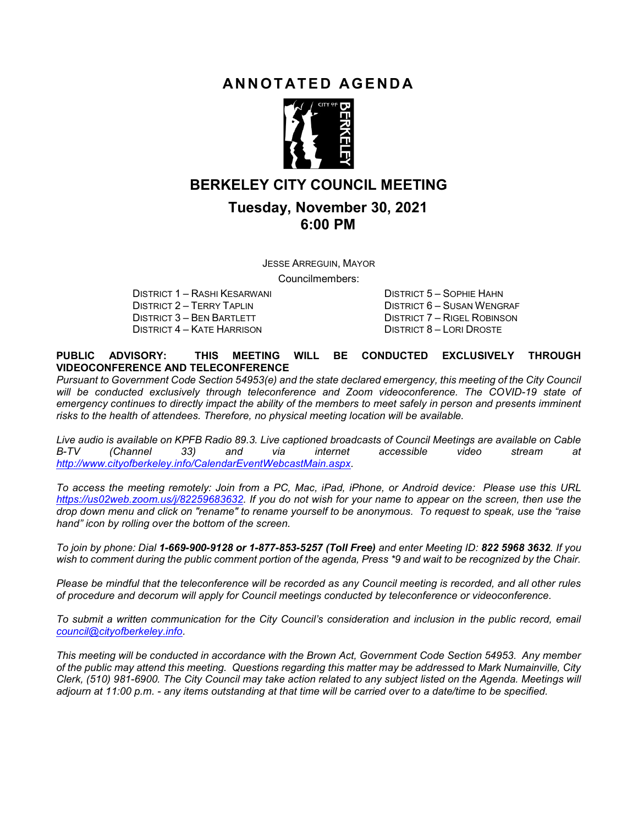## ANNOTATED AGENDA



## BERKELEY CITY COUNCIL MEETING

## Tuesday, November 30, 2021 6:00 PM

JESSE ARREGUIN, MAYOR Councilmembers:

DISTRICT 1 – RASHI KESARWANI DISTRICT 5 – SOPHIE HAHN DISTRICT 2 – TERRY TAPLIN DISTRICT 6 – SUSAN WENGRAF DISTRICT 3 – BEN BARTLETT DISTRICT 7 – RIGEL ROBINSON DISTRICT 4 – KATE HARRISON DISTRICT 8 – LORI DROSTE

#### PUBLIC ADVISORY: THIS MEETING WILL BE CONDUCTED EXCLUSIVELY THROUGH VIDEOCONFERENCE AND TELECONFERENCE

Pursuant to Government Code Section 54953(e) and the state declared emergency, this meeting of the City Council will be conducted exclusively through teleconference and Zoom videoconference. The COVID-19 state of emergency continues to directly impact the ability of the members to meet safely in person and presents imminent risks to the health of attendees. Therefore, no physical meeting location will be available.

Live audio is available on KPFB Radio 89.3. Live captioned broadcasts of Council Meetings are available on Cable B-TV (Channel 33) and via internet accessible video stream at http://www.cityofberkeley.info/CalendarEventWebcastMain.aspx.

To access the meeting remotely: Join from a PC, Mac, iPad, iPhone, or Android device: Please use this URL https://us02web.zoom.us/j/82259683632. If you do not wish for your name to appear on the screen, then use the drop down menu and click on "rename" to rename yourself to be anonymous. To request to speak, use the "raise hand" icon by rolling over the bottom of the screen.

To join by phone: Dial 1-669-900-9128 or 1-877-853-5257 (Toll Free) and enter Meeting ID: 822 5968 3632. If you wish to comment during the public comment portion of the agenda, Press \*9 and wait to be recognized by the Chair.

Please be mindful that the teleconference will be recorded as any Council meeting is recorded, and all other rules of procedure and decorum will apply for Council meetings conducted by teleconference or videoconference.

To submit a written communication for the City Council's consideration and inclusion in the public record, email council@cityofberkeley.info.

This meeting will be conducted in accordance with the Brown Act, Government Code Section 54953. Any member of the public may attend this meeting. Questions regarding this matter may be addressed to Mark Numainville, City Clerk, (510) 981-6900. The City Council may take action related to any subject listed on the Agenda. Meetings will adjourn at 11:00 p.m. - any items outstanding at that time will be carried over to a date/time to be specified.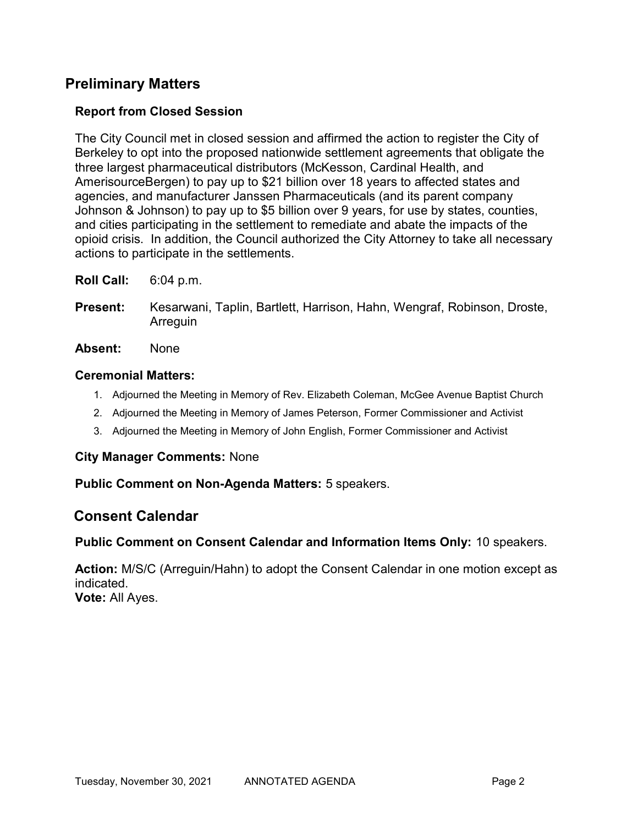# Preliminary Matters

## Report from Closed Session

The City Council met in closed session and affirmed the action to register the City of Berkeley to opt into the proposed nationwide settlement agreements that obligate the three largest pharmaceutical distributors (McKesson, Cardinal Health, and AmerisourceBergen) to pay up to \$21 billion over 18 years to affected states and agencies, and manufacturer Janssen Pharmaceuticals (and its parent company Johnson & Johnson) to pay up to \$5 billion over 9 years, for use by states, counties, and cities participating in the settlement to remediate and abate the impacts of the opioid crisis. In addition, the Council authorized the City Attorney to take all necessary actions to participate in the settlements.

- Roll Call: 6:04 p.m.
- Present: Kesarwani, Taplin, Bartlett, Harrison, Hahn, Wengraf, Robinson, Droste, Arreguin
- Absent: None

### Ceremonial Matters:

- 1. Adjourned the Meeting in Memory of Rev. Elizabeth Coleman, McGee Avenue Baptist Church
- 2. Adjourned the Meeting in Memory of James Peterson, Former Commissioner and Activist
- 3. Adjourned the Meeting in Memory of John English, Former Commissioner and Activist

#### City Manager Comments: None

Public Comment on Non-Agenda Matters: 5 speakers.

## Consent Calendar

#### Public Comment on Consent Calendar and Information Items Only: 10 speakers.

Action: M/S/C (Arreguin/Hahn) to adopt the Consent Calendar in one motion except as indicated. Vote: All Ayes.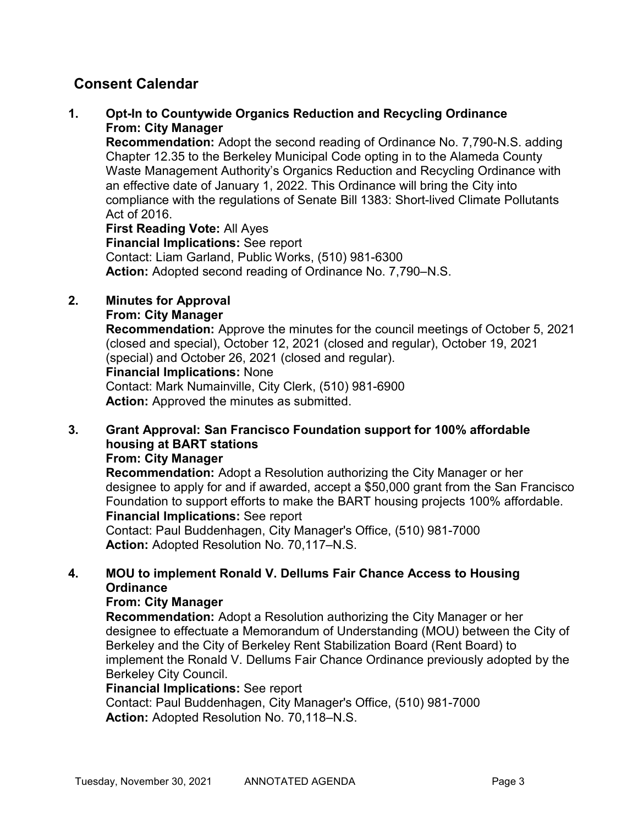### 1. Opt-In to Countywide Organics Reduction and Recycling Ordinance From: City Manager

Recommendation: Adopt the second reading of Ordinance No. 7,790-N.S. adding Chapter 12.35 to the Berkeley Municipal Code opting in to the Alameda County Waste Management Authority's Organics Reduction and Recycling Ordinance with an effective date of January 1, 2022. This Ordinance will bring the City into compliance with the regulations of Senate Bill 1383: Short-lived Climate Pollutants Act of 2016.

First Reading Vote: All Ayes Financial Implications: See report Contact: Liam Garland, Public Works, (510) 981-6300 Action: Adopted second reading of Ordinance No. 7,790–N.S.

# 2. Minutes for Approval

## From: City Manager

Recommendation: Approve the minutes for the council meetings of October 5, 2021 (closed and special), October 12, 2021 (closed and regular), October 19, 2021 (special) and October 26, 2021 (closed and regular). Financial Implications: None

Contact: Mark Numainville, City Clerk, (510) 981-6900 Action: Approved the minutes as submitted.

#### 3. Grant Approval: San Francisco Foundation support for 100% affordable housing at BART stations From: City Manager

Recommendation: Adopt a Resolution authorizing the City Manager or her designee to apply for and if awarded, accept a \$50,000 grant from the San Francisco Foundation to support efforts to make the BART housing projects 100% affordable. Financial Implications: See report

Contact: Paul Buddenhagen, City Manager's Office, (510) 981-7000 Action: Adopted Resolution No. 70,117–N.S.

## 4. MOU to implement Ronald V. Dellums Fair Chance Access to Housing **Ordinance**

### From: City Manager

Recommendation: Adopt a Resolution authorizing the City Manager or her designee to effectuate a Memorandum of Understanding (MOU) between the City of Berkeley and the City of Berkeley Rent Stabilization Board (Rent Board) to implement the Ronald V. Dellums Fair Chance Ordinance previously adopted by the Berkeley City Council.

### Financial Implications: See report

Contact: Paul Buddenhagen, City Manager's Office, (510) 981-7000 Action: Adopted Resolution No. 70,118–N.S.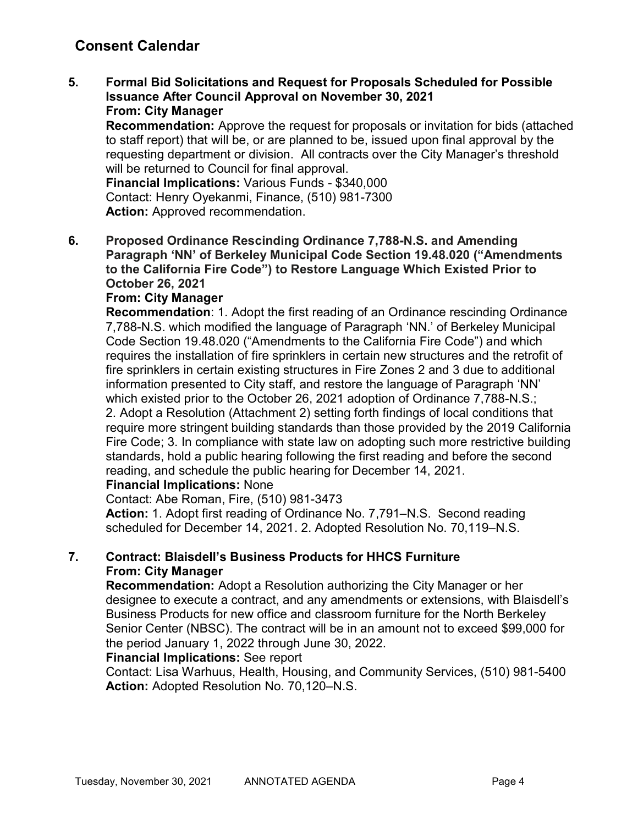5. Formal Bid Solicitations and Request for Proposals Scheduled for Possible Issuance After Council Approval on November 30, 2021 From: City Manager

Recommendation: Approve the request for proposals or invitation for bids (attached to staff report) that will be, or are planned to be, issued upon final approval by the requesting department or division. All contracts over the City Manager's threshold will be returned to Council for final approval.

Financial Implications: Various Funds - \$340,000 Contact: Henry Oyekanmi, Finance, (510) 981-7300 Action: Approved recommendation.

6. Proposed Ordinance Rescinding Ordinance 7,788-N.S. and Amending Paragraph 'NN' of Berkeley Municipal Code Section 19.48.020 ("Amendments to the California Fire Code") to Restore Language Which Existed Prior to October 26, 2021

### From: City Manager

Recommendation: 1. Adopt the first reading of an Ordinance rescinding Ordinance 7,788-N.S. which modified the language of Paragraph 'NN.' of Berkeley Municipal Code Section 19.48.020 ("Amendments to the California Fire Code") and which requires the installation of fire sprinklers in certain new structures and the retrofit of fire sprinklers in certain existing structures in Fire Zones 2 and 3 due to additional information presented to City staff, and restore the language of Paragraph 'NN' which existed prior to the October 26, 2021 adoption of Ordinance 7,788-N.S.; 2. Adopt a Resolution (Attachment 2) setting forth findings of local conditions that require more stringent building standards than those provided by the 2019 California Fire Code; 3. In compliance with state law on adopting such more restrictive building standards, hold a public hearing following the first reading and before the second reading, and schedule the public hearing for December 14, 2021.

### Financial Implications: None

Contact: Abe Roman, Fire, (510) 981-3473 Action: 1. Adopt first reading of Ordinance No. 7,791–N.S. Second reading

scheduled for December 14, 2021. 2. Adopted Resolution No. 70,119–N.S.

### 7. Contract: Blaisdell's Business Products for HHCS Furniture From: City Manager

Recommendation: Adopt a Resolution authorizing the City Manager or her designee to execute a contract, and any amendments or extensions, with Blaisdell's Business Products for new office and classroom furniture for the North Berkeley Senior Center (NBSC). The contract will be in an amount not to exceed \$99,000 for the period January 1, 2022 through June 30, 2022.

### Financial Implications: See report

Contact: Lisa Warhuus, Health, Housing, and Community Services, (510) 981-5400 Action: Adopted Resolution No. 70,120–N.S.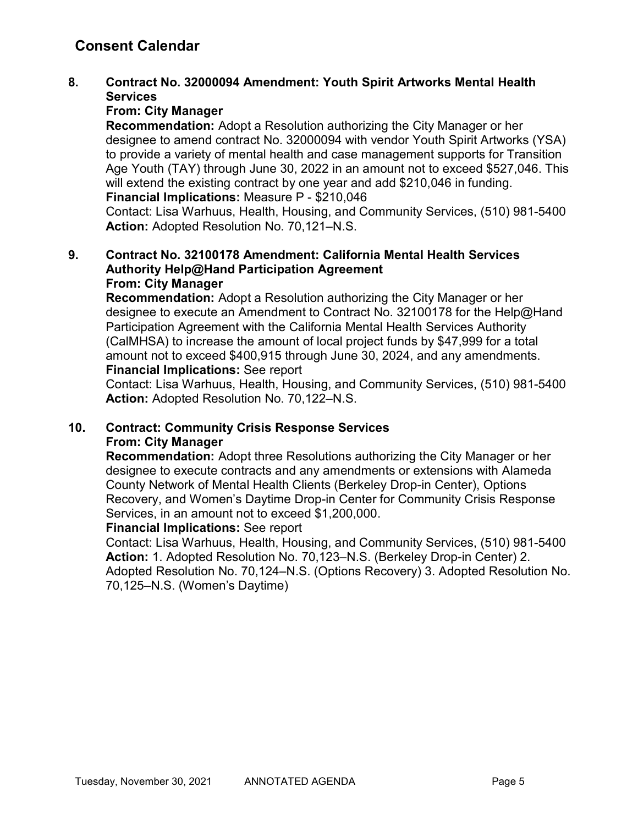### 8. Contract No. 32000094 Amendment: Youth Spirit Artworks Mental Health **Services**

### From: City Manager

Recommendation: Adopt a Resolution authorizing the City Manager or her designee to amend contract No. 32000094 with vendor Youth Spirit Artworks (YSA) to provide a variety of mental health and case management supports for Transition Age Youth (TAY) through June 30, 2022 in an amount not to exceed \$527,046. This will extend the existing contract by one year and add \$210,046 in funding. Financial Implications: Measure P - \$210,046

Contact: Lisa Warhuus, Health, Housing, and Community Services, (510) 981-5400 Action: Adopted Resolution No. 70,121–N.S.

#### 9. Contract No. 32100178 Amendment: California Mental Health Services Authority Help@Hand Participation Agreement From: City Manager

Recommendation: Adopt a Resolution authorizing the City Manager or her designee to execute an Amendment to Contract No. 32100178 for the Help@Hand Participation Agreement with the California Mental Health Services Authority (CalMHSA) to increase the amount of local project funds by \$47,999 for a total amount not to exceed \$400,915 through June 30, 2024, and any amendments. Financial Implications: See report

Contact: Lisa Warhuus, Health, Housing, and Community Services, (510) 981-5400 Action: Adopted Resolution No. 70,122–N.S.

### 10. Contract: Community Crisis Response Services From: City Manager

Recommendation: Adopt three Resolutions authorizing the City Manager or her designee to execute contracts and any amendments or extensions with Alameda County Network of Mental Health Clients (Berkeley Drop-in Center), Options Recovery, and Women's Daytime Drop-in Center for Community Crisis Response Services, in an amount not to exceed \$1,200,000.

### Financial Implications: See report

Contact: Lisa Warhuus, Health, Housing, and Community Services, (510) 981-5400 Action: 1. Adopted Resolution No. 70,123–N.S. (Berkeley Drop-in Center) 2. Adopted Resolution No. 70,124–N.S. (Options Recovery) 3. Adopted Resolution No. 70,125–N.S. (Women's Daytime)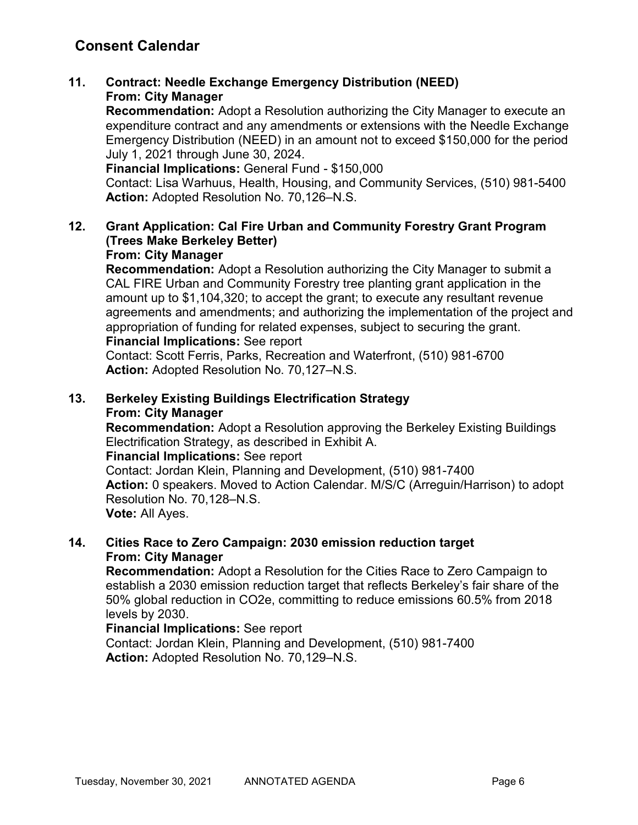## 11. Contract: Needle Exchange Emergency Distribution (NEED) From: City Manager

Recommendation: Adopt a Resolution authorizing the City Manager to execute an expenditure contract and any amendments or extensions with the Needle Exchange Emergency Distribution (NEED) in an amount not to exceed \$150,000 for the period July 1, 2021 through June 30, 2024.

Financial Implications: General Fund - \$150,000

Contact: Lisa Warhuus, Health, Housing, and Community Services, (510) 981-5400 Action: Adopted Resolution No. 70,126–N.S.

# 12. Grant Application: Cal Fire Urban and Community Forestry Grant Program (Trees Make Berkeley Better)

### From: City Manager

Recommendation: Adopt a Resolution authorizing the City Manager to submit a CAL FIRE Urban and Community Forestry tree planting grant application in the amount up to \$1,104,320; to accept the grant; to execute any resultant revenue agreements and amendments; and authorizing the implementation of the project and appropriation of funding for related expenses, subject to securing the grant. Financial Implications: See report

Contact: Scott Ferris, Parks, Recreation and Waterfront, (510) 981-6700 Action: Adopted Resolution No. 70,127–N.S.

## 13. Berkeley Existing Buildings Electrification Strategy From: City Manager

Recommendation: Adopt a Resolution approving the Berkeley Existing Buildings Electrification Strategy, as described in Exhibit A.

### Financial Implications: See report

Contact: Jordan Klein, Planning and Development, (510) 981-7400 Action: 0 speakers. Moved to Action Calendar. M/S/C (Arreguin/Harrison) to adopt Resolution No. 70,128–N.S. Vote: All Ayes.

### 14. Cities Race to Zero Campaign: 2030 emission reduction target From: City Manager

Recommendation: Adopt a Resolution for the Cities Race to Zero Campaign to establish a 2030 emission reduction target that reflects Berkeley's fair share of the 50% global reduction in CO2e, committing to reduce emissions 60.5% from 2018 levels by 2030.

### Financial Implications: See report

Contact: Jordan Klein, Planning and Development, (510) 981-7400 Action: Adopted Resolution No. 70,129–N.S.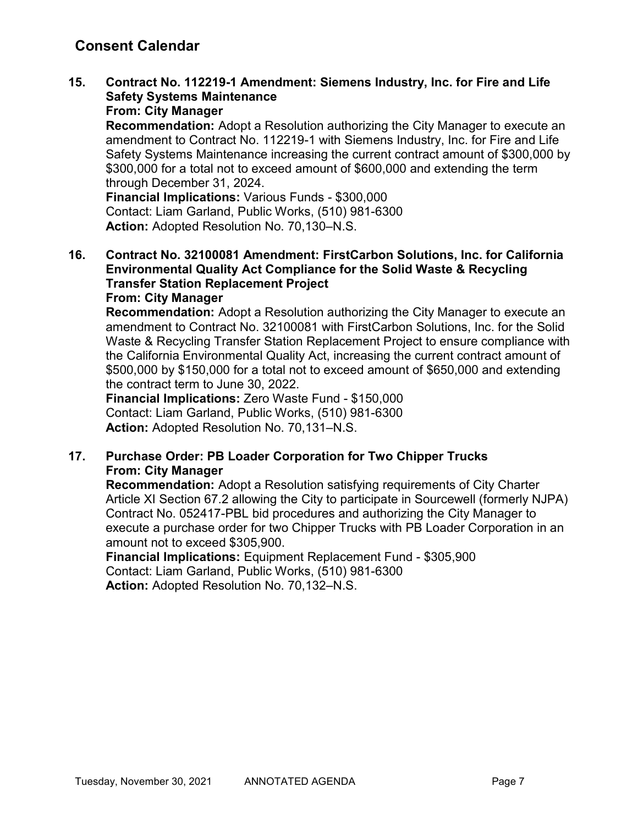# 15. Contract No. 112219-1 Amendment: Siemens Industry, Inc. for Fire and Life Safety Systems Maintenance

## From: City Manager

Recommendation: Adopt a Resolution authorizing the City Manager to execute an amendment to Contract No. 112219-1 with Siemens Industry, Inc. for Fire and Life Safety Systems Maintenance increasing the current contract amount of \$300,000 by \$300,000 for a total not to exceed amount of \$600,000 and extending the term through December 31, 2024.

Financial Implications: Various Funds - \$300,000 Contact: Liam Garland, Public Works, (510) 981-6300 Action: Adopted Resolution No. 70,130–N.S.

#### 16. Contract No. 32100081 Amendment: FirstCarbon Solutions, Inc. for California Environmental Quality Act Compliance for the Solid Waste & Recycling Transfer Station Replacement Project From: City Manager

Recommendation: Adopt a Resolution authorizing the City Manager to execute an amendment to Contract No. 32100081 with FirstCarbon Solutions, Inc. for the Solid Waste & Recycling Transfer Station Replacement Project to ensure compliance with the California Environmental Quality Act, increasing the current contract amount of \$500,000 by \$150,000 for a total not to exceed amount of \$650,000 and extending the contract term to June 30, 2022.

Financial Implications: Zero Waste Fund - \$150,000 Contact: Liam Garland, Public Works, (510) 981-6300 Action: Adopted Resolution No. 70,131–N.S.

## 17. Purchase Order: PB Loader Corporation for Two Chipper Trucks From: City Manager

Recommendation: Adopt a Resolution satisfying requirements of City Charter Article XI Section 67.2 allowing the City to participate in Sourcewell (formerly NJPA) Contract No. 052417-PBL bid procedures and authorizing the City Manager to execute a purchase order for two Chipper Trucks with PB Loader Corporation in an amount not to exceed \$305,900.

Financial Implications: Equipment Replacement Fund - \$305,900 Contact: Liam Garland, Public Works, (510) 981-6300 Action: Adopted Resolution No. 70,132–N.S.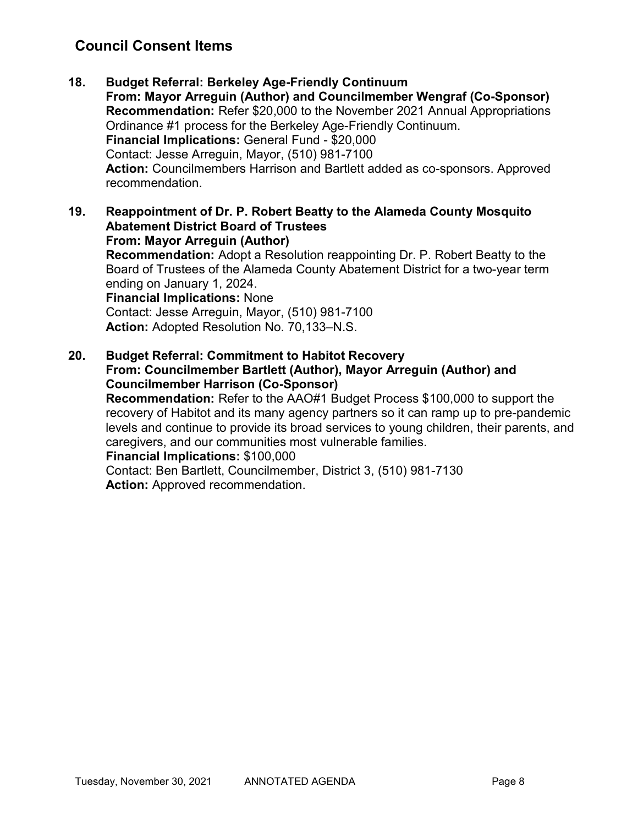# Council Consent Items

- 18. Budget Referral: Berkeley Age-Friendly Continuum From: Mayor Arreguin (Author) and Councilmember Wengraf (Co-Sponsor) Recommendation: Refer \$20,000 to the November 2021 Annual Appropriations Ordinance #1 process for the Berkeley Age-Friendly Continuum. Financial Implications: General Fund - \$20,000 Contact: Jesse Arreguin, Mayor, (510) 981-7100 Action: Councilmembers Harrison and Bartlett added as co-sponsors. Approved recommendation.
- 19. Reappointment of Dr. P. Robert Beatty to the Alameda County Mosquito Abatement District Board of Trustees From: Mayor Arreguin (Author) Recommendation: Adopt a Resolution reappointing Dr. P. Robert Beatty to the Board of Trustees of the Alameda County Abatement District for a two-year term ending on January 1, 2024. Financial Implications: None Contact: Jesse Arreguin, Mayor, (510) 981-7100 Action: Adopted Resolution No. 70,133–N.S.
- 20. Budget Referral: Commitment to Habitot Recovery From: Councilmember Bartlett (Author), Mayor Arreguin (Author) and Councilmember Harrison (Co-Sponsor) Recommendation: Refer to the AAO#1 Budget Process \$100,000 to support the

recovery of Habitot and its many agency partners so it can ramp up to pre-pandemic levels and continue to provide its broad services to young children, their parents, and caregivers, and our communities most vulnerable families.

### Financial Implications: \$100,000

Contact: Ben Bartlett, Councilmember, District 3, (510) 981-7130 Action: Approved recommendation.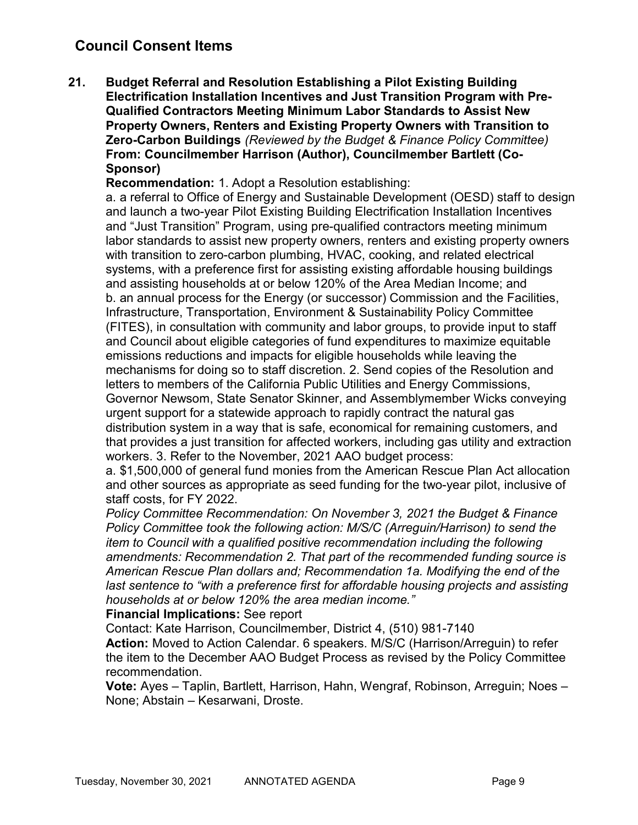# Council Consent Items

21. Budget Referral and Resolution Establishing a Pilot Existing Building Electrification Installation Incentives and Just Transition Program with Pre-Qualified Contractors Meeting Minimum Labor Standards to Assist New Property Owners, Renters and Existing Property Owners with Transition to Zero-Carbon Buildings (Reviewed by the Budget & Finance Policy Committee) From: Councilmember Harrison (Author), Councilmember Bartlett (Co-Sponsor)

Recommendation: 1. Adopt a Resolution establishing:

a. a referral to Office of Energy and Sustainable Development (OESD) staff to design and launch a two-year Pilot Existing Building Electrification Installation Incentives and "Just Transition" Program, using pre-qualified contractors meeting minimum labor standards to assist new property owners, renters and existing property owners with transition to zero-carbon plumbing, HVAC, cooking, and related electrical systems, with a preference first for assisting existing affordable housing buildings and assisting households at or below 120% of the Area Median Income; and b. an annual process for the Energy (or successor) Commission and the Facilities, Infrastructure, Transportation, Environment & Sustainability Policy Committee (FITES), in consultation with community and labor groups, to provide input to staff and Council about eligible categories of fund expenditures to maximize equitable emissions reductions and impacts for eligible households while leaving the mechanisms for doing so to staff discretion. 2. Send copies of the Resolution and letters to members of the California Public Utilities and Energy Commissions, Governor Newsom, State Senator Skinner, and Assemblymember Wicks conveying urgent support for a statewide approach to rapidly contract the natural gas distribution system in a way that is safe, economical for remaining customers, and that provides a just transition for affected workers, including gas utility and extraction workers. 3. Refer to the November, 2021 AAO budget process:

a. \$1,500,000 of general fund monies from the American Rescue Plan Act allocation and other sources as appropriate as seed funding for the two-year pilot, inclusive of staff costs, for FY 2022.

Policy Committee Recommendation: On November 3, 2021 the Budget & Finance Policy Committee took the following action: M/S/C (Arreguin/Harrison) to send the item to Council with a qualified positive recommendation including the following amendments: Recommendation 2. That part of the recommended funding source is American Rescue Plan dollars and; Recommendation 1a. Modifying the end of the last sentence to "with a preference first for affordable housing projects and assisting households at or below 120% the area median income."

#### Financial Implications: See report

Contact: Kate Harrison, Councilmember, District 4, (510) 981-7140

Action: Moved to Action Calendar. 6 speakers. M/S/C (Harrison/Arreguin) to refer the item to the December AAO Budget Process as revised by the Policy Committee recommendation.

Vote: Ayes – Taplin, Bartlett, Harrison, Hahn, Wengraf, Robinson, Arreguin; Noes – None; Abstain – Kesarwani, Droste.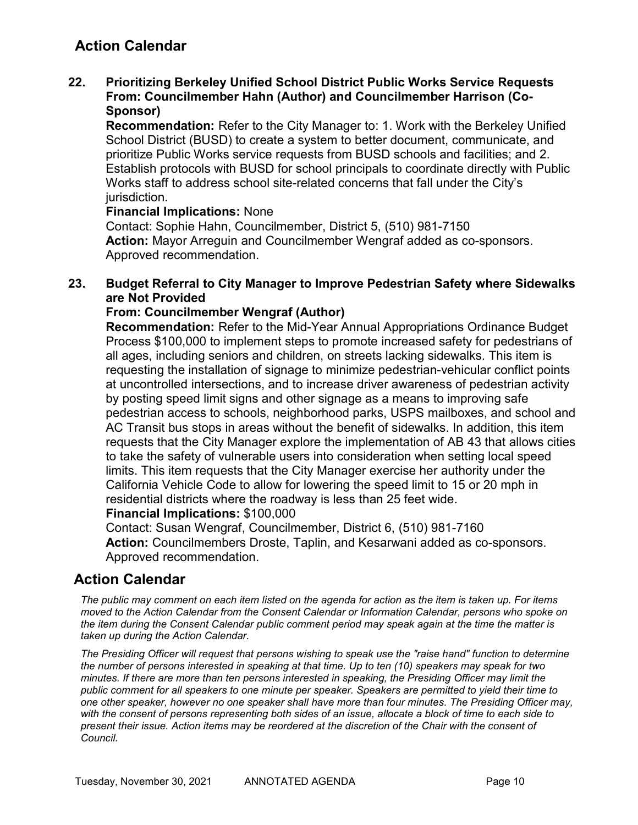# Action Calendar

### 22. Prioritizing Berkeley Unified School District Public Works Service Requests From: Councilmember Hahn (Author) and Councilmember Harrison (Co-Sponsor)

Recommendation: Refer to the City Manager to: 1. Work with the Berkeley Unified School District (BUSD) to create a system to better document, communicate, and prioritize Public Works service requests from BUSD schools and facilities; and 2. Establish protocols with BUSD for school principals to coordinate directly with Public Works staff to address school site-related concerns that fall under the City's jurisdiction.

### Financial Implications: None

Contact: Sophie Hahn, Councilmember, District 5, (510) 981-7150 Action: Mayor Arreguin and Councilmember Wengraf added as co-sponsors. Approved recommendation.

### 23. Budget Referral to City Manager to Improve Pedestrian Safety where Sidewalks are Not Provided

### From: Councilmember Wengraf (Author)

Recommendation: Refer to the Mid-Year Annual Appropriations Ordinance Budget Process \$100,000 to implement steps to promote increased safety for pedestrians of all ages, including seniors and children, on streets lacking sidewalks. This item is requesting the installation of signage to minimize pedestrian-vehicular conflict points at uncontrolled intersections, and to increase driver awareness of pedestrian activity by posting speed limit signs and other signage as a means to improving safe pedestrian access to schools, neighborhood parks, USPS mailboxes, and school and AC Transit bus stops in areas without the benefit of sidewalks. In addition, this item requests that the City Manager explore the implementation of AB 43 that allows cities to take the safety of vulnerable users into consideration when setting local speed limits. This item requests that the City Manager exercise her authority under the California Vehicle Code to allow for lowering the speed limit to 15 or 20 mph in residential districts where the roadway is less than 25 feet wide.

#### Financial Implications: \$100,000

Contact: Susan Wengraf, Councilmember, District 6, (510) 981-7160 Action: Councilmembers Droste, Taplin, and Kesarwani added as co-sponsors. Approved recommendation.

## Action Calendar

The public may comment on each item listed on the agenda for action as the item is taken up. For items moved to the Action Calendar from the Consent Calendar or Information Calendar, persons who spoke on the item during the Consent Calendar public comment period may speak again at the time the matter is taken up during the Action Calendar.

The Presiding Officer will request that persons wishing to speak use the "raise hand" function to determine the number of persons interested in speaking at that time. Up to ten (10) speakers may speak for two minutes. If there are more than ten persons interested in speaking, the Presiding Officer may limit the public comment for all speakers to one minute per speaker. Speakers are permitted to yield their time to one other speaker, however no one speaker shall have more than four minutes. The Presiding Officer may, with the consent of persons representing both sides of an issue, allocate a block of time to each side to present their issue. Action items may be reordered at the discretion of the Chair with the consent of Council.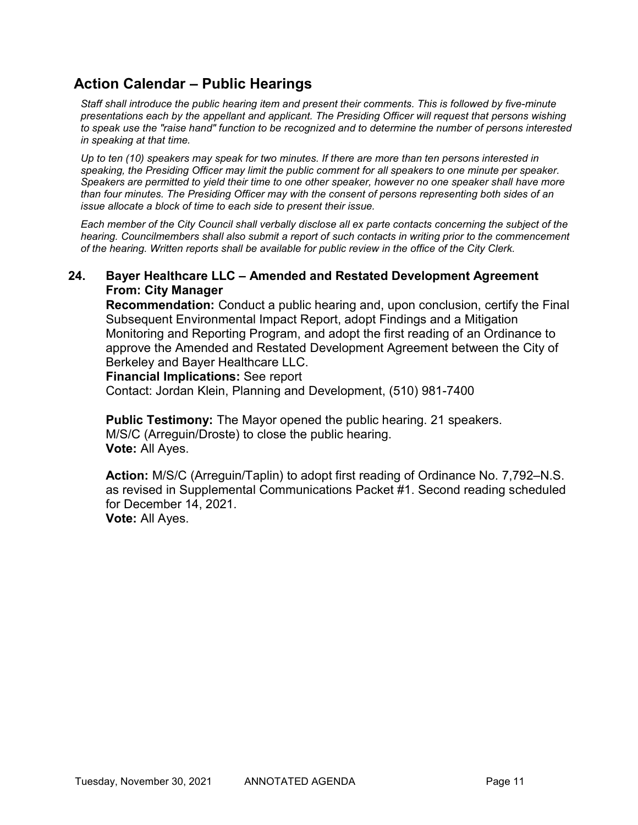# Action Calendar – Public Hearings

Staff shall introduce the public hearing item and present their comments. This is followed by five-minute presentations each by the appellant and applicant. The Presiding Officer will request that persons wishing to speak use the "raise hand" function to be recognized and to determine the number of persons interested in speaking at that time.

Up to ten (10) speakers may speak for two minutes. If there are more than ten persons interested in speaking, the Presiding Officer may limit the public comment for all speakers to one minute per speaker. Speakers are permitted to yield their time to one other speaker, however no one speaker shall have more than four minutes. The Presiding Officer may with the consent of persons representing both sides of an issue allocate a block of time to each side to present their issue.

Each member of the City Council shall verbally disclose all ex parte contacts concerning the subject of the hearing. Councilmembers shall also submit a report of such contacts in writing prior to the commencement of the hearing. Written reports shall be available for public review in the office of the City Clerk.

### 24. Bayer Healthcare LLC – Amended and Restated Development Agreement From: City Manager

Recommendation: Conduct a public hearing and, upon conclusion, certify the Final Subsequent Environmental Impact Report, adopt Findings and a Mitigation Monitoring and Reporting Program, and adopt the first reading of an Ordinance to approve the Amended and Restated Development Agreement between the City of Berkeley and Bayer Healthcare LLC.

#### Financial Implications: See report

Contact: Jordan Klein, Planning and Development, (510) 981-7400

Public Testimony: The Mayor opened the public hearing. 21 speakers. M/S/C (Arreguin/Droste) to close the public hearing. Vote: All Ayes.

Action: M/S/C (Arreguin/Taplin) to adopt first reading of Ordinance No. 7,792–N.S. as revised in Supplemental Communications Packet #1. Second reading scheduled for December 14, 2021. Vote: All Ayes.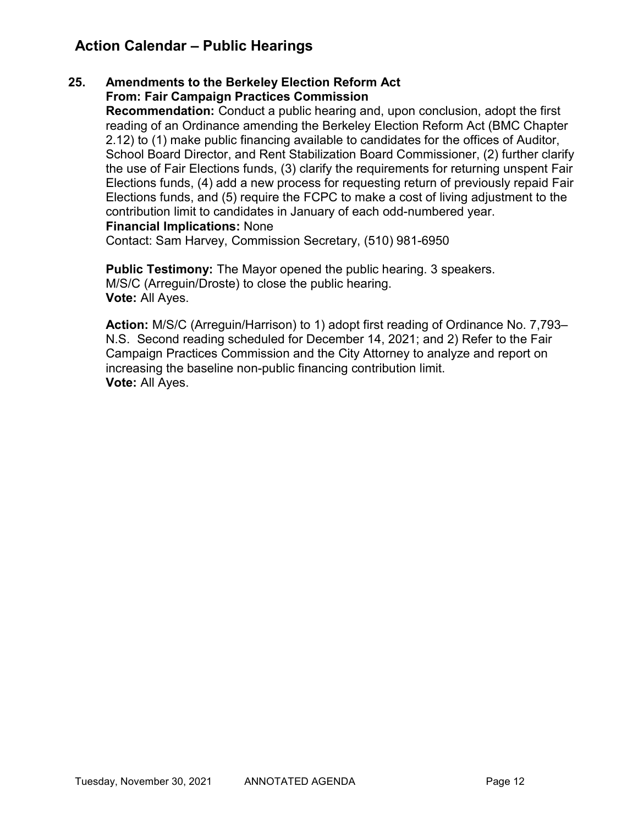# Action Calendar – Public Hearings

### 25. Amendments to the Berkeley Election Reform Act From: Fair Campaign Practices Commission

Recommendation: Conduct a public hearing and, upon conclusion, adopt the first reading of an Ordinance amending the Berkeley Election Reform Act (BMC Chapter 2.12) to (1) make public financing available to candidates for the offices of Auditor, School Board Director, and Rent Stabilization Board Commissioner, (2) further clarify the use of Fair Elections funds, (3) clarify the requirements for returning unspent Fair Elections funds, (4) add a new process for requesting return of previously repaid Fair Elections funds, and (5) require the FCPC to make a cost of living adjustment to the contribution limit to candidates in January of each odd-numbered year. Financial Implications: None

Contact: Sam Harvey, Commission Secretary, (510) 981-6950

Public Testimony: The Mayor opened the public hearing. 3 speakers. M/S/C (Arreguin/Droste) to close the public hearing. Vote: All Ayes.

Action: M/S/C (Arreguin/Harrison) to 1) adopt first reading of Ordinance No. 7,793– N.S. Second reading scheduled for December 14, 2021; and 2) Refer to the Fair Campaign Practices Commission and the City Attorney to analyze and report on increasing the baseline non-public financing contribution limit. Vote: All Ayes.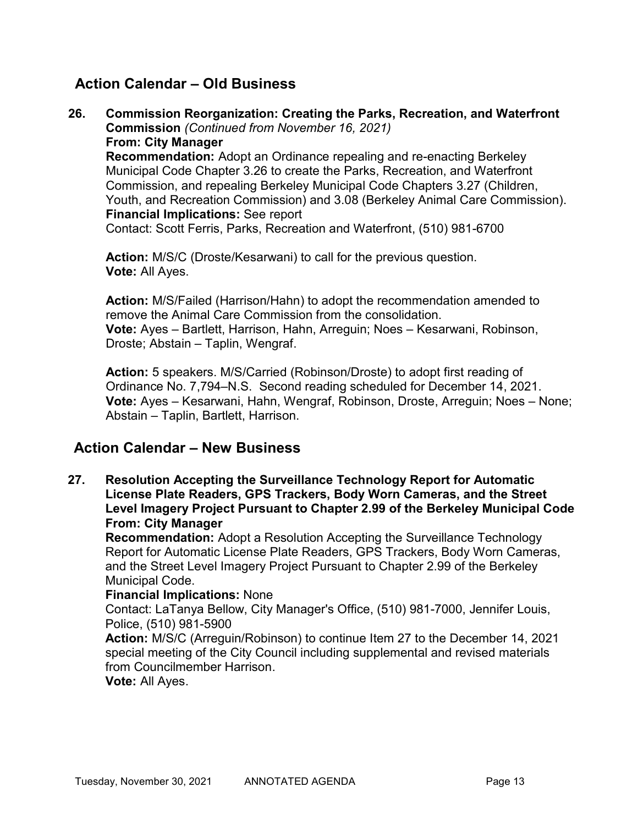# Action Calendar – Old Business

26. Commission Reorganization: Creating the Parks, Recreation, and Waterfront Commission (Continued from November 16, 2021) From: City Manager Recommendation: Adopt an Ordinance repealing and re-enacting Berkeley Municipal Code Chapter 3.26 to create the Parks, Recreation, and Waterfront Commission, and repealing Berkeley Municipal Code Chapters 3.27 (Children, Youth, and Recreation Commission) and 3.08 (Berkeley Animal Care Commission). Financial Implications: See report Contact: Scott Ferris, Parks, Recreation and Waterfront, (510) 981-6700

Action: M/S/C (Droste/Kesarwani) to call for the previous question. Vote: All Ayes.

Action: M/S/Failed (Harrison/Hahn) to adopt the recommendation amended to remove the Animal Care Commission from the consolidation. Vote: Ayes – Bartlett, Harrison, Hahn, Arreguin; Noes – Kesarwani, Robinson, Droste; Abstain – Taplin, Wengraf.

Action: 5 speakers. M/S/Carried (Robinson/Droste) to adopt first reading of Ordinance No. 7,794–N.S. Second reading scheduled for December 14, 2021. Vote: Ayes – Kesarwani, Hahn, Wengraf, Robinson, Droste, Arreguin; Noes – None; Abstain – Taplin, Bartlett, Harrison.

# Action Calendar – New Business

27. Resolution Accepting the Surveillance Technology Report for Automatic License Plate Readers, GPS Trackers, Body Worn Cameras, and the Street Level Imagery Project Pursuant to Chapter 2.99 of the Berkeley Municipal Code From: City Manager

Recommendation: Adopt a Resolution Accepting the Surveillance Technology Report for Automatic License Plate Readers, GPS Trackers, Body Worn Cameras, and the Street Level Imagery Project Pursuant to Chapter 2.99 of the Berkeley Municipal Code.

### Financial Implications: None

Contact: LaTanya Bellow, City Manager's Office, (510) 981-7000, Jennifer Louis, Police, (510) 981-5900

Action: M/S/C (Arreguin/Robinson) to continue Item 27 to the December 14, 2021 special meeting of the City Council including supplemental and revised materials from Councilmember Harrison.

Vote: All Ayes.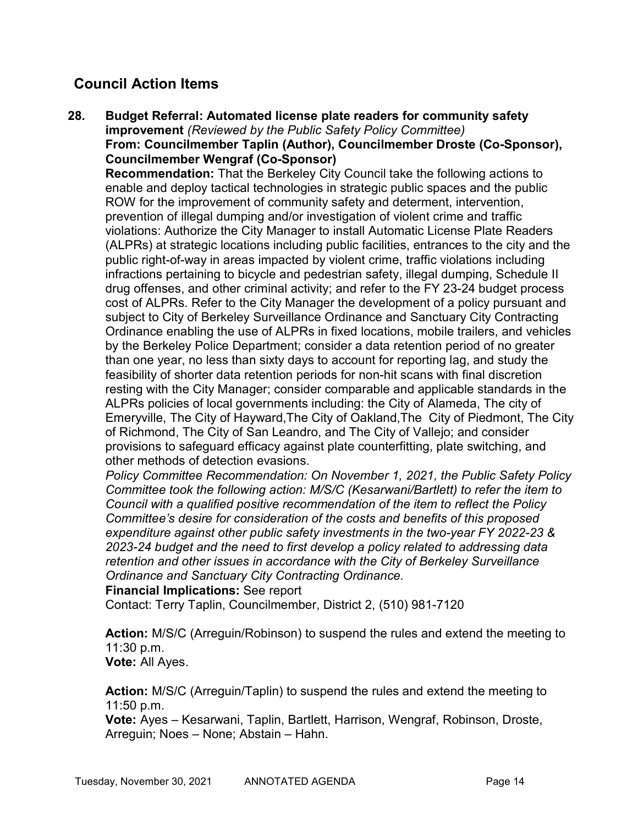# Council Action Items

28. Budget Referral: Automated license plate readers for community safety improvement (Reviewed by the Public Safety Policy Committee) From: Councilmember Taplin (Author), Councilmember Droste (Co-Sponsor), Councilmember Wengraf (Co-Sponsor) Recommendation: That the Berkeley City Council take the following actions to enable and deploy tactical technologies in strategic public spaces and the public ROW for the improvement of community safety and determent, intervention, prevention of illegal dumping and/or investigation of violent crime and traffic violations: Authorize the City Manager to install Automatic License Plate Readers (ALPRs) at strategic locations including public facilities, entrances to the city and the public right-of-way in areas impacted by violent crime, traffic violations including infractions pertaining to bicycle and pedestrian safety, illegal dumping, Schedule II drug offenses, and other criminal activity; and refer to the FY 23-24 budget process cost of ALPRs. Refer to the City Manager the development of a policy pursuant and subject to City of Berkeley Surveillance Ordinance and Sanctuary City Contracting Ordinance enabling the use of ALPRs in fixed locations, mobile trailers, and vehicles by the Berkeley Police Department; consider a data retention period of no greater than one year, no less than sixty days to account for reporting lag, and study the feasibility of shorter data retention periods for non-hit scans with final discretion resting with the City Manager; consider comparable and applicable standards in the ALPRs policies of local governments including: the City of Alameda, The city of Emeryville, The City of Hayward,The City of Oakland,The City of Piedmont, The City of Richmond, The City of San Leandro, and The City of Vallejo; and consider provisions to safeguard efficacy against plate counterfitting, plate switching, and other methods of detection evasions.

Policy Committee Recommendation: On November 1, 2021, the Public Safety Policy Committee took the following action: M/S/C (Kesarwani/Bartlett) to refer the item to Council with a qualified positive recommendation of the item to reflect the Policy Committee's desire for consideration of the costs and benefits of this proposed expenditure against other public safety investments in the two-year FY 2022-23 & 2023-24 budget and the need to first develop a policy related to addressing data retention and other issues in accordance with the City of Berkeley Surveillance Ordinance and Sanctuary City Contracting Ordinance.

### Financial Implications: See report

Contact: Terry Taplin, Councilmember, District 2, (510) 981-7120

Action: M/S/C (Arreguin/Robinson) to suspend the rules and extend the meeting to 11:30 p.m. Vote: All Ayes.

Action: M/S/C (Arreguin/Taplin) to suspend the rules and extend the meeting to 11:50 p.m.

Vote: Ayes – Kesarwani, Taplin, Bartlett, Harrison, Wengraf, Robinson, Droste, Arreguin; Noes – None; Abstain – Hahn.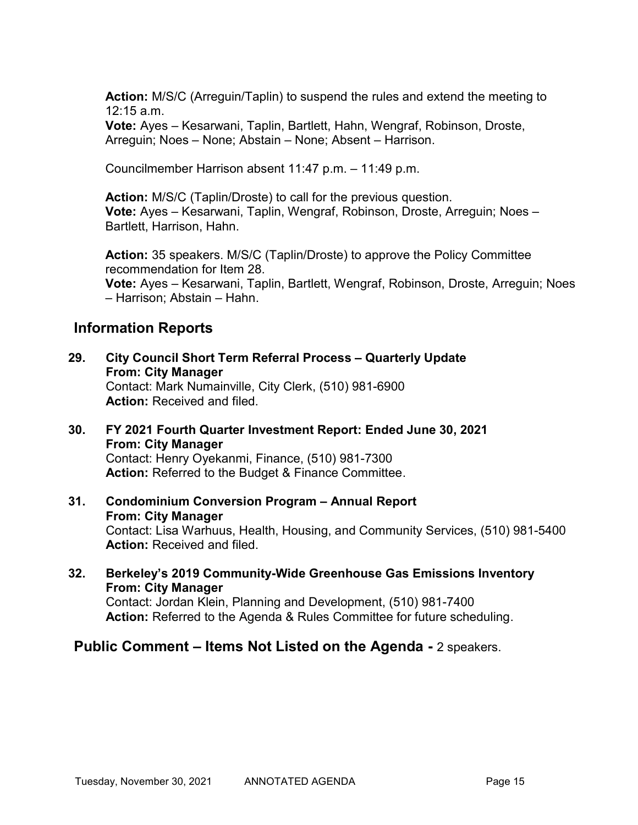Action: M/S/C (Arreguin/Taplin) to suspend the rules and extend the meeting to 12:15 a.m.

Vote: Ayes – Kesarwani, Taplin, Bartlett, Hahn, Wengraf, Robinson, Droste, Arreguin; Noes – None; Abstain – None; Absent – Harrison.

Councilmember Harrison absent 11:47 p.m. – 11:49 p.m.

Action: M/S/C (Taplin/Droste) to call for the previous question. Vote: Ayes – Kesarwani, Taplin, Wengraf, Robinson, Droste, Arreguin; Noes – Bartlett, Harrison, Hahn.

Action: 35 speakers. M/S/C (Taplin/Droste) to approve the Policy Committee recommendation for Item 28. Vote: Ayes – Kesarwani, Taplin, Bartlett, Wengraf, Robinson, Droste, Arreguin; Noes – Harrison; Abstain – Hahn.

# Information Reports

- 29. City Council Short Term Referral Process Quarterly Update From: City Manager Contact: Mark Numainville, City Clerk, (510) 981-6900 Action: Received and filed.
- 30. FY 2021 Fourth Quarter Investment Report: Ended June 30, 2021 From: City Manager Contact: Henry Oyekanmi, Finance, (510) 981-7300 Action: Referred to the Budget & Finance Committee.
- 31. Condominium Conversion Program Annual Report From: City Manager Contact: Lisa Warhuus, Health, Housing, and Community Services, (510) 981-5400 Action: Received and filed.
- 32. Berkeley's 2019 Community-Wide Greenhouse Gas Emissions Inventory From: City Manager Contact: Jordan Klein, Planning and Development, (510) 981-7400 Action: Referred to the Agenda & Rules Committee for future scheduling.

## Public Comment – Items Not Listed on the Agenda - 2 speakers.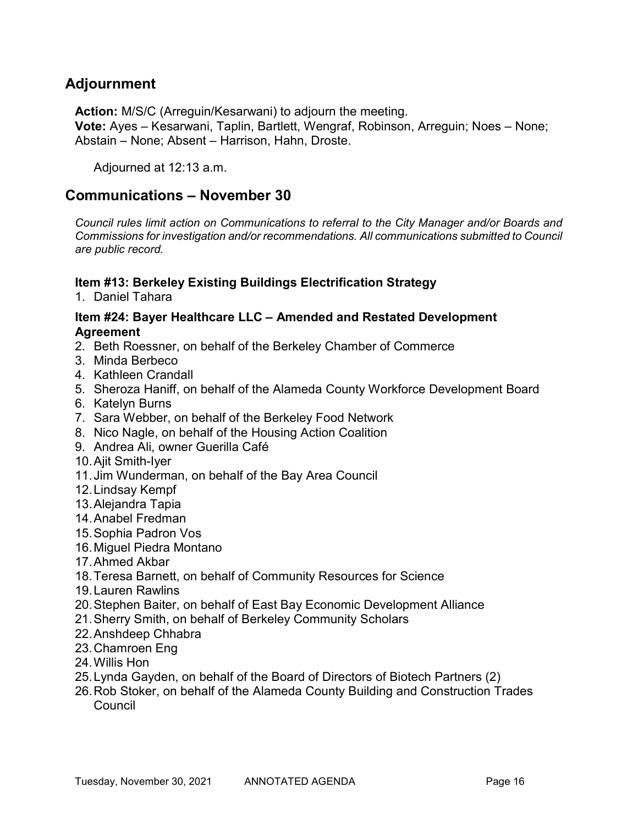# Adjournment

Action: M/S/C (Arreguin/Kesarwani) to adjourn the meeting.

Vote: Ayes – Kesarwani, Taplin, Bartlett, Wengraf, Robinson, Arreguin; Noes – None; Abstain – None; Absent – Harrison, Hahn, Droste.

Adjourned at 12:13 a.m.

## Communications – November 30

Council rules limit action on Communications to referral to the City Manager and/or Boards and Commissions for investigation and/or recommendations. All communications submitted to Council are public record.

### Item #13: Berkeley Existing Buildings Electrification Strategy

1. Daniel Tahara

### Item #24: Bayer Healthcare LLC – Amended and Restated Development Agreement

- 2. Beth Roessner, on behalf of the Berkeley Chamber of Commerce
- 3. Minda Berbeco
- 4. Kathleen Crandall
- 5. Sheroza Haniff, on behalf of the Alameda County Workforce Development Board
- 6. Katelyn Burns
- 7. Sara Webber, on behalf of the Berkeley Food Network
- 8. Nico Nagle, on behalf of the Housing Action Coalition
- 9. Andrea Ali, owner Guerilla Café
- 10. Ajit Smith-Iyer
- 11. Jim Wunderman, on behalf of the Bay Area Council
- 12. Lindsay Kempf
- 13. Alejandra Tapia
- 14. Anabel Fredman
- 15. Sophia Padron Vos
- 16. Miguel Piedra Montano
- 17. Ahmed Akbar
- 18. Teresa Barnett, on behalf of Community Resources for Science
- 19. Lauren Rawlins
- 20. Stephen Baiter, on behalf of East Bay Economic Development Alliance
- 21. Sherry Smith, on behalf of Berkeley Community Scholars
- 22. Anshdeep Chhabra
- 23. Chamroen Eng
- 24. Willis Hon
- 25. Lynda Gayden, on behalf of the Board of Directors of Biotech Partners (2)
- 26. Rob Stoker, on behalf of the Alameda County Building and Construction Trades **Council**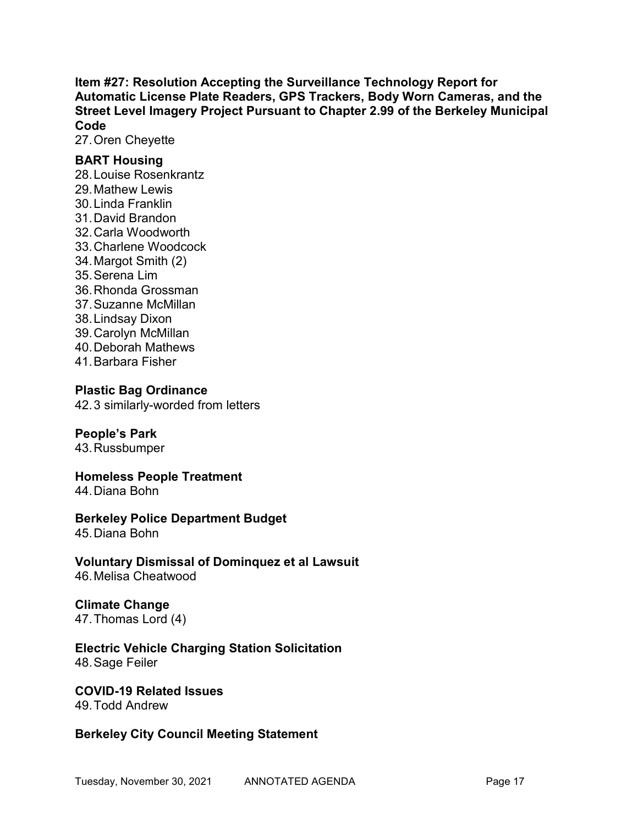Item #27: Resolution Accepting the Surveillance Technology Report for Automatic License Plate Readers, GPS Trackers, Body Worn Cameras, and the Street Level Imagery Project Pursuant to Chapter 2.99 of the Berkeley Municipal Code

27. Oren Cheyette

### BART Housing

28. Louise Rosenkrantz 29. Mathew Lewis 30. Linda Franklin 31. David Brandon 32. Carla Woodworth 33. Charlene Woodcock 34. Margot Smith (2) 35. Serena Lim 36. Rhonda Grossman 37. Suzanne McMillan 38. Lindsay Dixon 39. Carolyn McMillan 40. Deborah Mathews 41. Barbara Fisher

### Plastic Bag Ordinance

42. 3 similarly-worded from letters

### People's Park

43. Russbumper

Homeless People Treatment 44. Diana Bohn

## Berkeley Police Department Budget

45. Diana Bohn

Voluntary Dismissal of Dominquez et al Lawsuit 46. Melisa Cheatwood

### Climate Change 47. Thomas Lord (4)

#### Electric Vehicle Charging Station Solicitation 48. Sage Feiler

### COVID-19 Related Issues

49. Todd Andrew

## Berkeley City Council Meeting Statement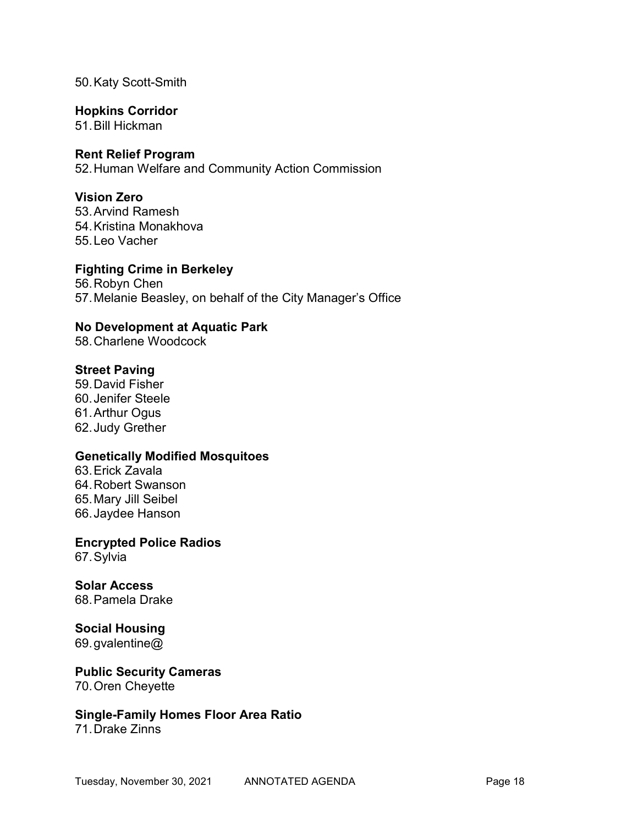50. Katy Scott-Smith

### Hopkins Corridor

51. Bill Hickman

### Rent Relief Program

52. Human Welfare and Community Action Commission

### Vision Zero

53. Arvind Ramesh 54. Kristina Monakhova 55. Leo Vacher

### Fighting Crime in Berkeley

56. Robyn Chen 57. Melanie Beasley, on behalf of the City Manager's Office

## No Development at Aquatic Park

58. Charlene Woodcock

### Street Paving

59. David Fisher 60. Jenifer Steele 61. Arthur Ogus 62. Judy Grether

### Genetically Modified Mosquitoes

63. Erick Zavala 64. Robert Swanson 65. Mary Jill Seibel 66. Jaydee Hanson

Encrypted Police Radios 67. Sylvia

Solar Access 68. Pamela Drake

Social Housing 69. gvalentine@

### Public Security Cameras 70. Oren Cheyette

Single-Family Homes Floor Area Ratio

71. Drake Zinns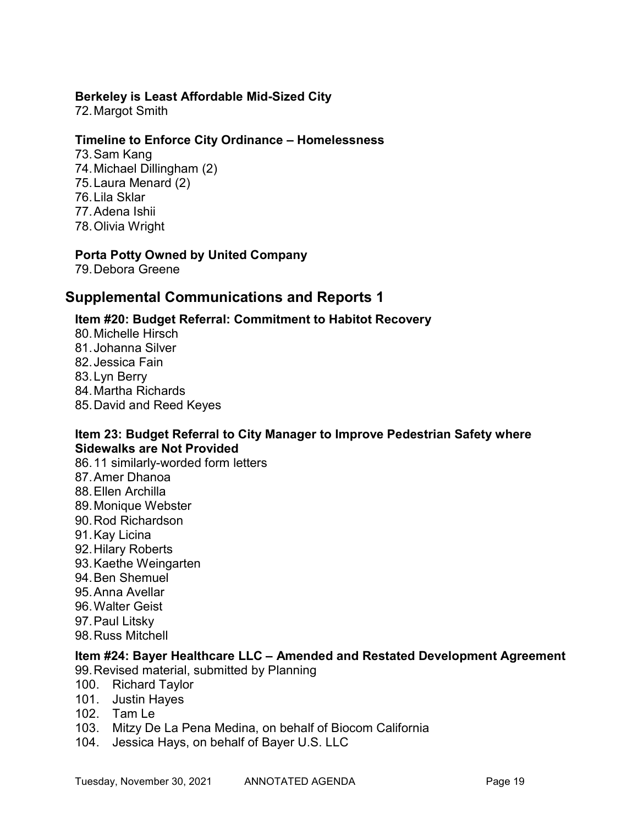### Berkeley is Least Affordable Mid-Sized City

72. Margot Smith

### Timeline to Enforce City Ordinance – Homelessness

73. Sam Kang 74. Michael Dillingham (2) 75. Laura Menard (2) 76. Lila Sklar 77. Adena Ishii 78. Olivia Wright

## Porta Potty Owned by United Company

79. Debora Greene

# Supplemental Communications and Reports 1

### Item #20: Budget Referral: Commitment to Habitot Recovery

80. Michelle Hirsch 81. Johanna Silver 82. Jessica Fain 83. Lyn Berry 84. Martha Richards 85. David and Reed Keyes

### Item 23: Budget Referral to City Manager to Improve Pedestrian Safety where Sidewalks are Not Provided

86. 11 similarly-worded form letters 87. Amer Dhanoa 88. Ellen Archilla 89. Monique Webster 90. Rod Richardson 91. Kay Licina 92. Hilary Roberts 93. Kaethe Weingarten 94. Ben Shemuel 95. Anna Avellar 96. Walter Geist 97. Paul Litsky 98. Russ Mitchell

### Item #24: Bayer Healthcare LLC – Amended and Restated Development Agreement

99. Revised material, submitted by Planning

- 100. Richard Taylor
- 101. Justin Hayes
- 102. Tam Le
- 103. Mitzy De La Pena Medina, on behalf of Biocom California
- 104. Jessica Hays, on behalf of Bayer U.S. LLC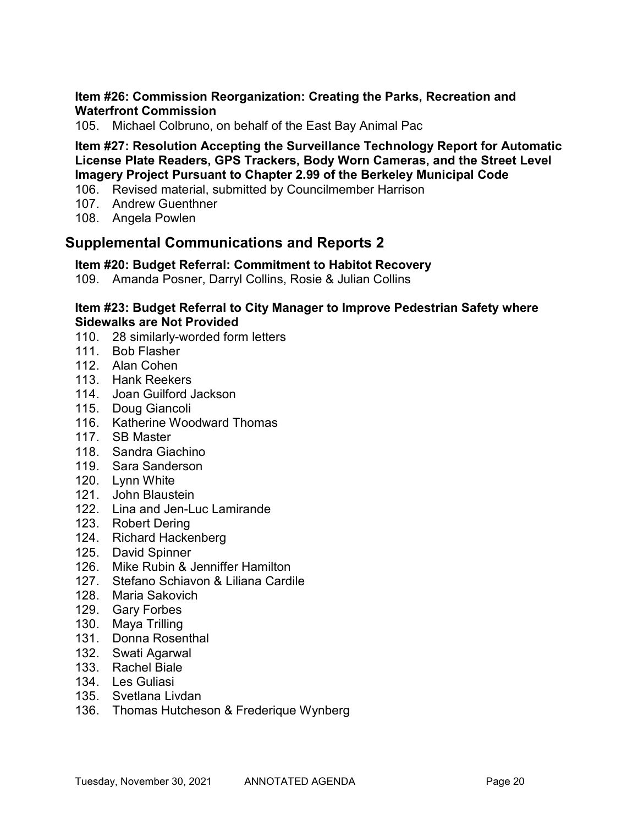### Item #26: Commission Reorganization: Creating the Parks, Recreation and Waterfront Commission

105. Michael Colbruno, on behalf of the East Bay Animal Pac

## Item #27: Resolution Accepting the Surveillance Technology Report for Automatic License Plate Readers, GPS Trackers, Body Worn Cameras, and the Street Level Imagery Project Pursuant to Chapter 2.99 of the Berkeley Municipal Code

- 106. Revised material, submitted by Councilmember Harrison
- 107. Andrew Guenthner
- 108. Angela Powlen

# Supplemental Communications and Reports 2

## Item #20: Budget Referral: Commitment to Habitot Recovery

109. Amanda Posner, Darryl Collins, Rosie & Julian Collins

#### Item #23: Budget Referral to City Manager to Improve Pedestrian Safety where Sidewalks are Not Provided

- 110. 28 similarly-worded form letters
- 111. Bob Flasher
- 112. Alan Cohen
- 113. Hank Reekers
- 114. Joan Guilford Jackson
- 115. Doug Giancoli
- 116. Katherine Woodward Thomas
- 117. SB Master
- 118. Sandra Giachino
- 119. Sara Sanderson
- 120. Lynn White
- 121. John Blaustein
- 122. Lina and Jen-Luc Lamirande
- 123. Robert Dering
- 124. Richard Hackenberg
- 125. David Spinner
- 126. Mike Rubin & Jenniffer Hamilton
- 127. Stefano Schiavon & Liliana Cardile
- 128. Maria Sakovich
- 129. Gary Forbes
- 130. Maya Trilling
- 131. Donna Rosenthal
- 132. Swati Agarwal
- 133. Rachel Biale
- 134. Les Guliasi
- 135. Svetlana Livdan
- 136. Thomas Hutcheson & Frederique Wynberg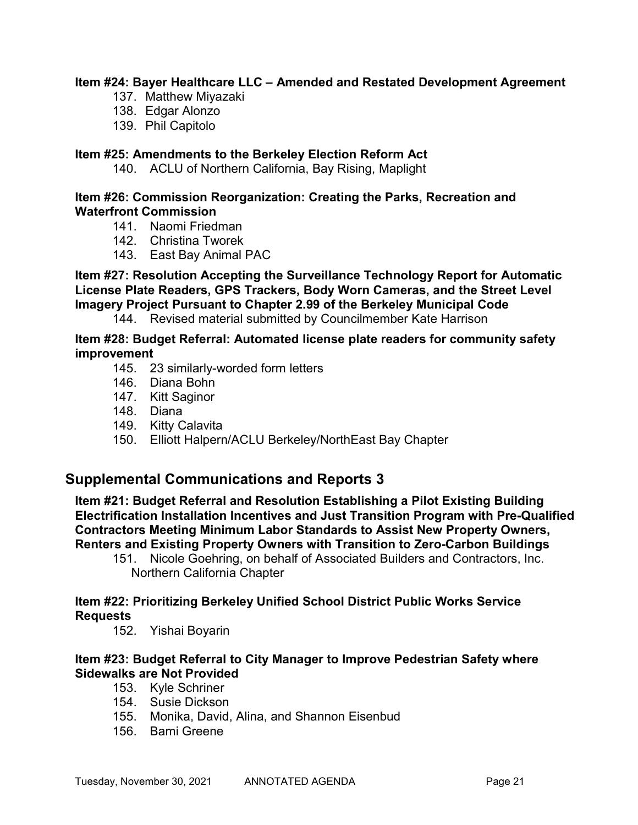### Item #24: Bayer Healthcare LLC – Amended and Restated Development Agreement

- 137. Matthew Miyazaki
- 138. Edgar Alonzo
- 139. Phil Capitolo

### Item #25: Amendments to the Berkeley Election Reform Act

140. ACLU of Northern California, Bay Rising, Maplight

### Item #26: Commission Reorganization: Creating the Parks, Recreation and Waterfront Commission

- 141. Naomi Friedman
- 142. Christina Tworek
- 143. East Bay Animal PAC

## Item #27: Resolution Accepting the Surveillance Technology Report for Automatic License Plate Readers, GPS Trackers, Body Worn Cameras, and the Street Level Imagery Project Pursuant to Chapter 2.99 of the Berkeley Municipal Code

144. Revised material submitted by Councilmember Kate Harrison

#### Item #28: Budget Referral: Automated license plate readers for community safety improvement

- 145. 23 similarly-worded form letters
- 146. Diana Bohn
- 147. Kitt Saginor
- 148. Diana
- 149. Kitty Calavita
- 150. Elliott Halpern/ACLU Berkeley/NorthEast Bay Chapter

## Supplemental Communications and Reports 3

Item #21: Budget Referral and Resolution Establishing a Pilot Existing Building Electrification Installation Incentives and Just Transition Program with Pre-Qualified Contractors Meeting Minimum Labor Standards to Assist New Property Owners, Renters and Existing Property Owners with Transition to Zero-Carbon Buildings

151. Nicole Goehring, on behalf of Associated Builders and Contractors, Inc. Northern California Chapter

### Item #22: Prioritizing Berkeley Unified School District Public Works Service Requests

152. Yishai Boyarin

## Item #23: Budget Referral to City Manager to Improve Pedestrian Safety where Sidewalks are Not Provided

- 153. Kyle Schriner
- 154. Susie Dickson
- 155. Monika, David, Alina, and Shannon Eisenbud
- 156. Bami Greene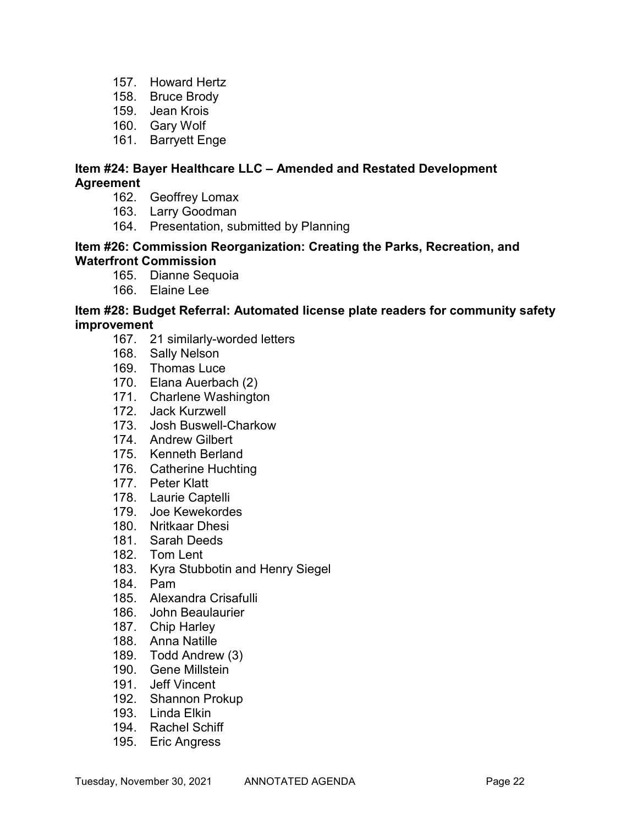- 157. Howard Hertz
- 158. Bruce Brody
- 159. Jean Krois
- 160. Gary Wolf
- 161. Barryett Enge

### Item #24: Bayer Healthcare LLC – Amended and Restated Development Agreement

- 162. Geoffrey Lomax
- 163. Larry Goodman
- 164. Presentation, submitted by Planning

#### Item #26: Commission Reorganization: Creating the Parks, Recreation, and Waterfront Commission

- 165. Dianne Sequoia
- 166. Elaine Lee

### Item #28: Budget Referral: Automated license plate readers for community safety improvement

- 167. 21 similarly-worded letters
- 168. Sally Nelson
- 169. Thomas Luce
- 170. Elana Auerbach (2)
- 171. Charlene Washington
- 172. Jack Kurzwell
- 173. Josh Buswell-Charkow
- 174. Andrew Gilbert
- 175. Kenneth Berland
- 176. Catherine Huchting
- 177. Peter Klatt
- 178. Laurie Captelli
- 179. Joe Kewekordes
- 180. Nritkaar Dhesi
- 181. Sarah Deeds
- 182. Tom Lent
- 183. Kyra Stubbotin and Henry Siegel
- 184. Pam
- 185. Alexandra Crisafulli
- 186. John Beaulaurier
- 187. Chip Harley
- 188. Anna Natille
- 189. Todd Andrew (3)
- 190. Gene Millstein
- 191. Jeff Vincent
- 192. Shannon Prokup
- 193. Linda Elkin
- 194. Rachel Schiff
- 195. Eric Angress